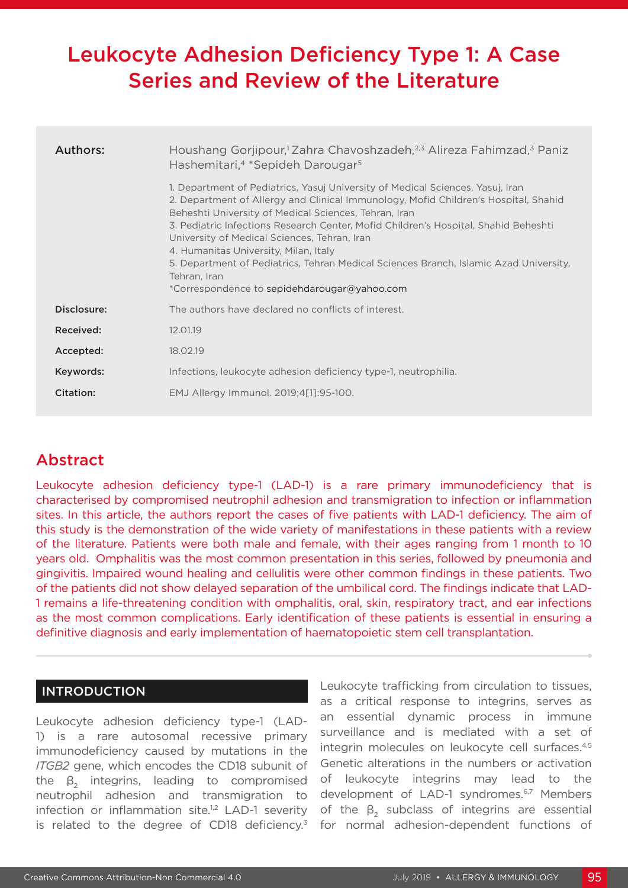# Leukocyte Adhesion Deficiency Type 1: A Case Series and Review of the Literature

| Authors:    | Houshang Gorjipour, <sup>1</sup> Zahra Chavoshzadeh, <sup>2,3</sup> Alireza Fahimzad, <sup>3</sup> Paniz<br>Hashemitari, <sup>4</sup> *Sepideh Darougar <sup>5</sup>                                                                                                                                                                                                                                                                                                                                                                                                    |  |  |  |
|-------------|-------------------------------------------------------------------------------------------------------------------------------------------------------------------------------------------------------------------------------------------------------------------------------------------------------------------------------------------------------------------------------------------------------------------------------------------------------------------------------------------------------------------------------------------------------------------------|--|--|--|
|             | 1. Department of Pediatrics, Yasuj University of Medical Sciences, Yasuj, Iran<br>2. Department of Allergy and Clinical Immunology, Mofid Children's Hospital, Shahid<br>Beheshti University of Medical Sciences, Tehran, Iran<br>3. Pediatric Infections Research Center, Mofid Children's Hospital, Shahid Beheshti<br>University of Medical Sciences, Tehran, Iran<br>4. Humanitas University, Milan, Italy<br>5. Department of Pediatrics, Tehran Medical Sciences Branch, Islamic Azad University,<br>Tehran, Iran<br>*Correspondence to sepidehdarougar@yahoo.com |  |  |  |
| Disclosure: | The authors have declared no conflicts of interest.                                                                                                                                                                                                                                                                                                                                                                                                                                                                                                                     |  |  |  |
| Received:   | 12.01.19                                                                                                                                                                                                                                                                                                                                                                                                                                                                                                                                                                |  |  |  |
| Accepted:   | 18.02.19                                                                                                                                                                                                                                                                                                                                                                                                                                                                                                                                                                |  |  |  |
| Keywords:   | Infections, leukocyte adhesion deficiency type-1, neutrophilia.                                                                                                                                                                                                                                                                                                                                                                                                                                                                                                         |  |  |  |
| Citation:   | EMJ Allergy Immunol. 2019;4[1]:95-100.                                                                                                                                                                                                                                                                                                                                                                                                                                                                                                                                  |  |  |  |

## Abstract

Leukocyte adhesion deficiency type-1 (LAD-1) is a rare primary immunodeficiency that is characterised by compromised neutrophil adhesion and transmigration to infection or inflammation sites. In this article, the authors report the cases of five patients with LAD-1 deficiency. The aim of this study is the demonstration of the wide variety of manifestations in these patients with a review of the literature. Patients were both male and female, with their ages ranging from 1 month to 10 years old. Omphalitis was the most common presentation in this series, followed by pneumonia and gingivitis. Impaired wound healing and cellulitis were other common findings in these patients. Two of the patients did not show delayed separation of the umbilical cord. The findings indicate that LAD-1 remains a life-threatening condition with omphalitis, oral, skin, respiratory tract, and ear infections as the most common complications. Early identification of these patients is essential in ensuring a definitive diagnosis and early implementation of haematopoietic stem cell transplantation.

#### INTRODUCTION

Leukocyte adhesion deficiency type-1 (LAD-1) is a rare autosomal recessive primary immunodeficiency caused by mutations in the *ITGB2* gene, which encodes the CD18 subunit of the  $\beta_2$  integrins, leading to compromised neutrophil adhesion and transmigration to infection or inflammation site.<sup>1,2</sup> LAD-1 severity is related to the degree of CD18 deficiency.<sup>3</sup> Leukocyte trafficking from circulation to tissues, as a critical response to integrins, serves as an essential dynamic process in immune surveillance and is mediated with a set of integrin molecules on leukocyte cell surfaces.4,5 Genetic alterations in the numbers or activation of leukocyte integrins may lead to the development of LAD-1 syndromes.<sup>6,7</sup> Members of the  $β_2$  subclass of integrins are essential for normal adhesion-dependent functions of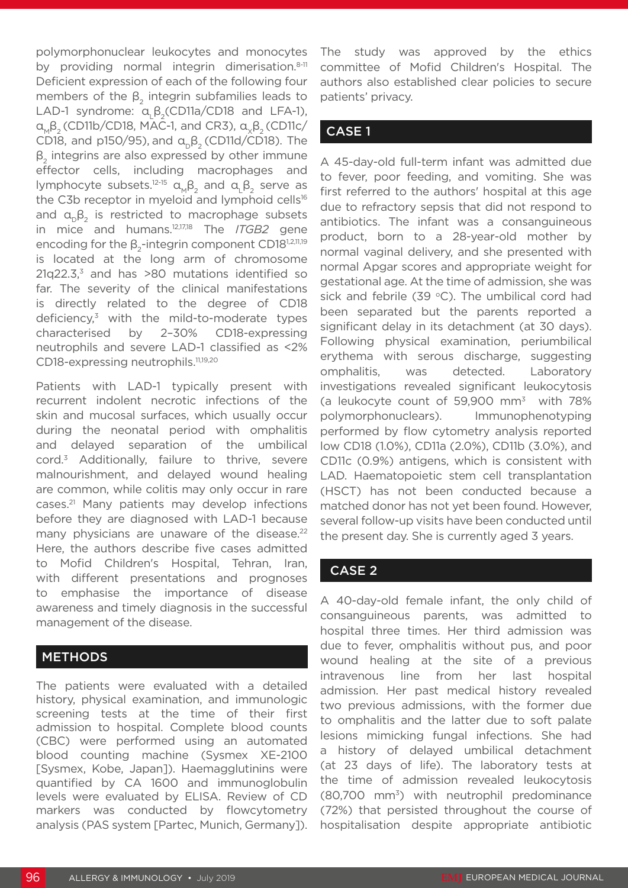polymorphonuclear leukocytes and monocytes by providing normal integrin dimerisation.<sup>8-11</sup> Deficient expression of each of the following four members of the  $\beta$ , integrin subfamilies leads to LAD-1 syndrome:  $\alpha, \beta,$ (CD11a/CD18 and LFA-1),  $α, β$ <sub>2</sub> (CD11b/CD18, MAC-1, and CR3),  $α, β$ <sub>2</sub> (CD11c/ CD18, and p150/95), and  $\alpha_{p} \beta_{q}$  (CD11d/CD18). The  $β<sub>2</sub>$  integrins are also expressed by other immune effector cells, including macrophages and lymphocyte subsets.<sup>12-15</sup>  $\alpha_{M} \beta_{2}$  and  $\alpha_{L} \beta_{2}$  serve as the C3b receptor in myeloid and lymphoid cells<sup>16</sup> and  $a_0$  $B_2$  is restricted to macrophage subsets in mice and humans.12,17,18 The *ITGB2* gene encoding for the  $\beta_{2}$ -integrin component CD18<sup>1,2,11,19</sup> is located at the long arm of chromosome  $21q22.3$ <sup>3</sup> and has  $>80$  mutations identified so far. The severity of the clinical manifestations is directly related to the degree of CD18 deficiency, $3$  with the mild-to-moderate types characterised by 2–30% CD18-expressing neutrophils and severe LAD-1 classified as <2% CD18-expressing neutrophils.<sup>11,19,20</sup>

Patients with LAD-1 typically present with recurrent indolent necrotic infections of the skin and mucosal surfaces, which usually occur during the neonatal period with omphalitis and delayed separation of the umbilical cord.3 Additionally, failure to thrive, severe malnourishment, and delayed wound healing are common, while colitis may only occur in rare cases.21 Many patients may develop infections before they are diagnosed with LAD-1 because many physicians are unaware of the disease.<sup>22</sup> Here, the authors describe five cases admitted to Mofid Children's Hospital, Tehran, Iran, with different presentations and prognoses to emphasise the importance of disease awareness and timely diagnosis in the successful management of the disease.

#### **METHODS**

The patients were evaluated with a detailed history, physical examination, and immunologic screening tests at the time of their first admission to hospital. Complete blood counts (CBC) were performed using an automated blood counting machine (Sysmex XE-2100 [Sysmex, Kobe, Japan]). Haemagglutinins were quantified by CA 1600 and immunoglobulin levels were evaluated by ELISA. Review of CD markers was conducted by flowcytometry analysis (PAS system [Partec, Munich, Germany]).

The study was approved by the ethics committee of Mofid Children's Hospital. The authors also established clear policies to secure patients' privacy.

### CASE 1

A 45-day-old full-term infant was admitted due to fever, poor feeding, and vomiting. She was first referred to the authors' hospital at this age due to refractory sepsis that did not respond to antibiotics. The infant was a consanguineous product, born to a 28-year-old mother by normal vaginal delivery, and she presented with normal Apgar scores and appropriate weight for gestational age. At the time of admission, she was sick and febrile (39  $\degree$ C). The umbilical cord had been separated but the parents reported a significant delay in its detachment (at 30 days). Following physical examination, periumbilical erythema with serous discharge, suggesting omphalitis, was detected. Laboratory investigations revealed significant leukocytosis (a leukocyte count of 59,900  $mm^3$  with 78% polymorphonuclears). Immunophenotyping performed by flow cytometry analysis reported low CD18 (1.0%), CD11a (2.0%), CD11b (3.0%), and CD11c (0.9%) antigens, which is consistent with LAD. Haematopoietic stem cell transplantation (HSCT) has not been conducted because a matched donor has not yet been found. However, several follow-up visits have been conducted until the present day. She is currently aged 3 years.

#### CASE 2

A 40-day-old female infant, the only child of consanguineous parents, was admitted to hospital three times. Her third admission was due to fever, omphalitis without pus, and poor wound healing at the site of a previous intravenous line from her last hospital admission. Her past medical history revealed two previous admissions, with the former due to omphalitis and the latter due to soft palate lesions mimicking fungal infections. She had a history of delayed umbilical detachment (at 23 days of life). The laboratory tests at the time of admission revealed leukocytosis  $(80,700 \text{ mm}^3)$  with neutrophil predominance (72%) that persisted throughout the course of hospitalisation despite appropriate antibiotic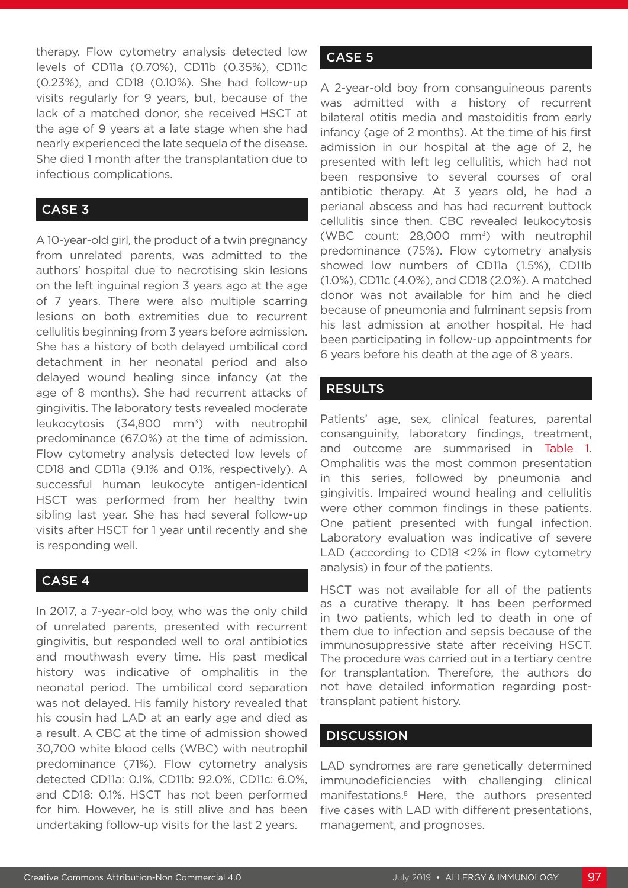therapy. Flow cytometry analysis detected low levels of CD11a (0.70%), CD11b (0.35%), CD11c (0.23%), and CD18 (0.10%). She had follow-up visits regularly for 9 years, but, because of the lack of a matched donor, she received HSCT at the age of 9 years at a late stage when she had nearly experienced the late sequela of the disease. She died 1 month after the transplantation due to infectious complications.

#### CASE 3

A 10-year-old girl, the product of a twin pregnancy from unrelated parents, was admitted to the authors' hospital due to necrotising skin lesions on the left inguinal region 3 years ago at the age of 7 years. There were also multiple scarring lesions on both extremities due to recurrent cellulitis beginning from 3 years before admission. She has a history of both delayed umbilical cord detachment in her neonatal period and also delayed wound healing since infancy (at the age of 8 months). She had recurrent attacks of gingivitis. The laboratory tests revealed moderate leukocytosis (34,800 mm<sup>3</sup>) with neutrophil predominance (67.0%) at the time of admission. Flow cytometry analysis detected low levels of CD18 and CD11a (9.1% and 0.1%, respectively). A successful human leukocyte antigen-identical HSCT was performed from her healthy twin sibling last year. She has had several follow-up visits after HSCT for 1 year until recently and she is responding well.

#### CASE 4

In 2017, a 7-year-old boy, who was the only child of unrelated parents, presented with recurrent gingivitis, but responded well to oral antibiotics and mouthwash every time. His past medical history was indicative of omphalitis in the neonatal period. The umbilical cord separation was not delayed. His family history revealed that his cousin had LAD at an early age and died as a result. A CBC at the time of admission showed 30,700 white blood cells (WBC) with neutrophil predominance (71%). Flow cytometry analysis detected CD11a: 0.1%, CD11b: 92.0%, CD11c: 6.0%, and CD18: 0.1%. HSCT has not been performed for him. However, he is still alive and has been undertaking follow-up visits for the last 2 years.

#### CASE 5

A 2-year-old boy from consanguineous parents was admitted with a history of recurrent bilateral otitis media and mastoiditis from early infancy (age of 2 months). At the time of his first admission in our hospital at the age of 2, he presented with left leg cellulitis, which had not been responsive to several courses of oral antibiotic therapy. At 3 years old, he had a perianal abscess and has had recurrent buttock cellulitis since then. CBC revealed leukocytosis (WBC count: 28,000 mm3) with neutrophil predominance (75%). Flow cytometry analysis showed low numbers of CD11a (1.5%), CD11b (1.0%), CD11c (4.0%), and CD18 (2.0%). A matched donor was not available for him and he died because of pneumonia and fulminant sepsis from his last admission at another hospital. He had been participating in follow-up appointments for 6 years before his death at the age of 8 years.

#### RESULTS

Patients' age, sex, clinical features, parental consanguinity, laboratory findings, treatment, and outcome are summarised in Table 1. Omphalitis was the most common presentation in this series, followed by pneumonia and gingivitis. Impaired wound healing and cellulitis were other common findings in these patients. One patient presented with fungal infection. Laboratory evaluation was indicative of severe LAD (according to CD18 <2% in flow cytometry analysis) in four of the patients.

HSCT was not available for all of the patients as a curative therapy. It has been performed in two patients, which led to death in one of them due to infection and sepsis because of the immunosuppressive state after receiving HSCT. The procedure was carried out in a tertiary centre for transplantation. Therefore, the authors do not have detailed information regarding posttransplant patient history.

#### **DISCUSSION**

LAD syndromes are rare genetically determined immunodeficiencies with challenging clinical manifestations.8 Here, the authors presented five cases with LAD with different presentations, management, and prognoses.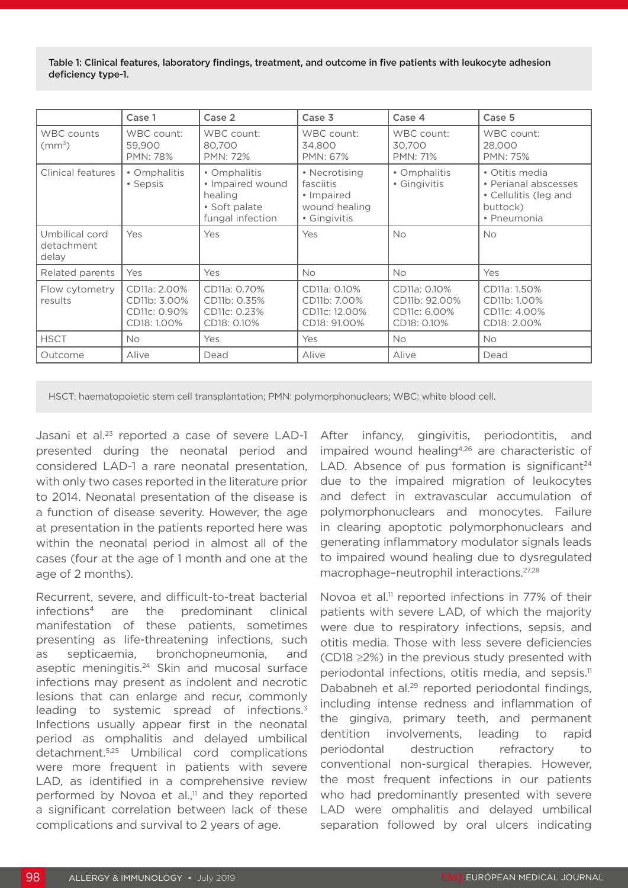Table 1: Clinical features, laboratory findings, treatment, and outcome in five patients with leukocyte adhesion deficiency type-1.

|                                       | Case 1                                                      | Case 2                                                                           | Case 3                                                                    | Case 4                                                       | Case 5                                                                                     |
|---------------------------------------|-------------------------------------------------------------|----------------------------------------------------------------------------------|---------------------------------------------------------------------------|--------------------------------------------------------------|--------------------------------------------------------------------------------------------|
| <b>WBC</b> counts<br>$\rm (mm^3)$     | WBC count:<br>59,900<br><b>PMN: 78%</b>                     | WBC count:<br>80,700<br><b>PMN: 72%</b>                                          | WBC count:<br>34,800<br>PMN: 67%                                          | WBC count:<br>30.700<br><b>PMN: 71%</b>                      | WBC count:<br>28,000<br><b>PMN: 75%</b>                                                    |
| Clinical features                     | • Omphalitis<br>• Sepsis                                    | • Omphalitis<br>• Impaired wound<br>healing<br>• Soft palate<br>fungal infection | • Necrotising<br>fasciitis<br>• Impaired<br>wound healing<br>• Gingivitis | • Omphalitis<br>• Gingivitis                                 | • Otitis media<br>• Perianal abscesses<br>• Cellulitis (leg and<br>buttock)<br>• Pneumonia |
| Umbilical cord<br>detachment<br>delay | Yes                                                         | Yes                                                                              | Yes                                                                       | <b>No</b>                                                    | <b>No</b>                                                                                  |
| Related parents                       | Yes                                                         | Yes                                                                              | <b>No</b>                                                                 | <b>No</b>                                                    | Yes                                                                                        |
| Flow cytometry<br>results             | CD11a: 2.00%<br>CD11b: 3.00%<br>CD11c: 0.90%<br>CD18: 1.00% | CD11a: 0.70%<br>CD11b: 0.35%<br>CD11c: 0.23%<br>CD18: 0.10%                      | CD11a: 0.10%<br>CD11b: 7.00%<br>CD11c: 12.00%<br>CD18: 91.00%             | CD11a: 0.10%<br>CD11b: 92.00%<br>CD11c: 6.00%<br>CD18: 0.10% | CD11a: 1.50%<br>CD11b: 1.00%<br>CD11c: 4.00%<br>CD18: 2.00%                                |
| <b>HSCT</b>                           | <b>No</b>                                                   | Yes                                                                              | Yes                                                                       | <b>No</b>                                                    | <b>No</b>                                                                                  |
| Outcome                               | Alive                                                       | Dead                                                                             | Alive                                                                     | Alive                                                        | Dead                                                                                       |

HSCT: haematopoietic stem cell transplantation; PMN: polymorphonuclears; WBC: white blood cell.

Jasani et al.23 reported a case of severe LAD-1 presented during the neonatal period and considered LAD-1 a rare neonatal presentation, with only two cases reported in the literature prior to 2014. Neonatal presentation of the disease is a function of disease severity. However, the age at presentation in the patients reported here was within the neonatal period in almost all of the cases (four at the age of 1 month and one at the age of 2 months).

Recurrent, severe, and difficult-to-treat bacterial infections4 are the predominant clinical manifestation of these patients, sometimes presenting as life-threatening infections, such as septicaemia, bronchopneumonia, and aseptic meningitis.<sup>24</sup> Skin and mucosal surface infections may present as indolent and necrotic lesions that can enlarge and recur, commonly leading to systemic spread of infections.<sup>3</sup> Infections usually appear first in the neonatal period as omphalitis and delayed umbilical detachment.5,25 Umbilical cord complications were more frequent in patients with severe LAD, as identified in a comprehensive review performed by Novoa et al., $\frac{1}{1}$  and they reported a significant correlation between lack of these complications and survival to 2 years of age.

After infancy, gingivitis, periodontitis, and impaired wound healing<sup>4,26</sup> are characteristic of LAD. Absence of pus formation is significant<sup>24</sup> due to the impaired migration of leukocytes and defect in extravascular accumulation of polymorphonuclears and monocytes. Failure in clearing apoptotic polymorphonuclears and generating inflammatory modulator signals leads to impaired wound healing due to dysregulated macrophage–neutrophil interactions.27,28

Novoa et al.<sup>11</sup> reported infections in 77% of their patients with severe LAD, of which the majority were due to respiratory infections, sepsis, and otitis media. Those with less severe deficiencies (CD18 ≥2%) in the previous study presented with periodontal infections, otitis media, and sepsis.<sup>11</sup> Dababneh et al.<sup>29</sup> reported periodontal findings, including intense redness and inflammation of the gingiva, primary teeth, and permanent dentition involvements, leading to rapid periodontal destruction refractory to conventional non-surgical therapies. However, the most frequent infections in our patients who had predominantly presented with severe LAD were omphalitis and delayed umbilical separation followed by oral ulcers indicating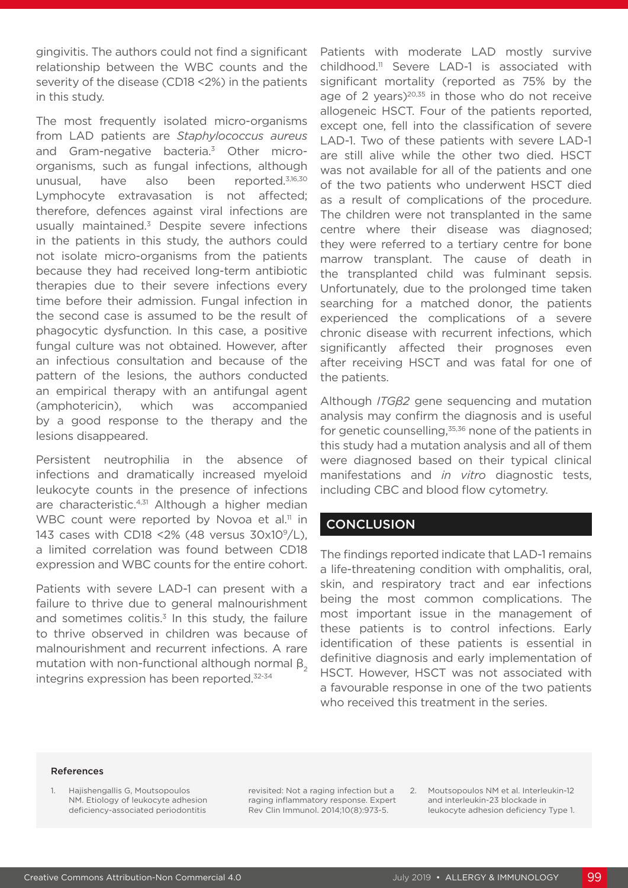gingivitis. The authors could not find a significant relationship between the WBC counts and the severity of the disease (CD18 <2%) in the patients in this study.

The most frequently isolated micro-organisms from LAD patients are *Staphylococcus aureus*  and Gram-negative bacteria.3 Other microorganisms, such as fungal infections, although unusual, have also been reported.3,16,30 Lymphocyte extravasation is not affected; therefore, defences against viral infections are usually maintained.3 Despite severe infections in the patients in this study, the authors could not isolate micro-organisms from the patients because they had received long-term antibiotic therapies due to their severe infections every time before their admission. Fungal infection in the second case is assumed to be the result of phagocytic dysfunction. In this case, a positive fungal culture was not obtained. However, after an infectious consultation and because of the pattern of the lesions, the authors conducted an empirical therapy with an antifungal agent (amphotericin), which was accompanied by a good response to the therapy and the lesions disappeared.

Persistent neutrophilia in the absence of infections and dramatically increased myeloid leukocyte counts in the presence of infections are characteristic.<sup>4,31</sup> Although a higher median WBC count were reported by Novoa et al.<sup>11</sup> in 143 cases with CD18 <2% (48 versus 30x109/L), a limited correlation was found between CD18 expression and WBC counts for the entire cohort.

Patients with severe LAD-1 can present with a failure to thrive due to general malnourishment and sometimes colitis. $3$  In this study, the failure to thrive observed in children was because of malnourishment and recurrent infections. A rare mutation with non-functional although normal  $\beta$ <sub>2</sub> integrins expression has been reported.<sup>32-34</sup>

Patients with moderate LAD mostly survive childhood.<sup>11</sup> Severe LAD-1 is associated with significant mortality (reported as 75% by the age of 2 years)<sup>20,35</sup> in those who do not receive allogeneic HSCT. Four of the patients reported, except one, fell into the classification of severe LAD-1. Two of these patients with severe LAD-1 are still alive while the other two died. HSCT was not available for all of the patients and one of the two patients who underwent HSCT died as a result of complications of the procedure. The children were not transplanted in the same centre where their disease was diagnosed; they were referred to a tertiary centre for bone marrow transplant. The cause of death in the transplanted child was fulminant sepsis. Unfortunately, due to the prolonged time taken searching for a matched donor, the patients experienced the complications of a severe chronic disease with recurrent infections, which significantly affected their prognoses even after receiving HSCT and was fatal for one of the patients.

Although *ITGβ2* gene sequencing and mutation analysis may confirm the diagnosis and is useful for genetic counselling, $35,36$  none of the patients in this study had a mutation analysis and all of them were diagnosed based on their typical clinical manifestations and *in vitro* diagnostic tests, including CBC and blood flow cytometry.

#### **CONCLUSION**

The findings reported indicate that LAD-1 remains a life-threatening condition with omphalitis, oral, skin, and respiratory tract and ear infections being the most common complications. The most important issue in the management of these patients is to control infections. Early identification of these patients is essential in definitive diagnosis and early implementation of HSCT. However, HSCT was not associated with a favourable response in one of the two patients who received this treatment in the series.

#### References

1. Hajishengallis G, Moutsopoulos NM. Etiology of leukocyte adhesion deficiency-associated periodontitis

revisited: Not a raging infection but a raging inflammatory response. Expert Rev Clin Immunol. 2014;10(8):973-5.

2. Moutsopoulos NM et al. Interleukin-12 and interleukin-23 blockade in leukocyte adhesion deficiency Type 1.